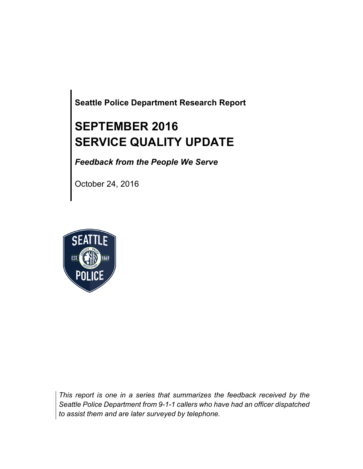**Seattle Police Department Research Report**

# **SEPTEMBER 2016 SERVICE QUALITY UPDATE**

*Feedback from the People We Serve*

October 24, 2016



*This report is one in a series that summarizes the feedback received by the Seattle Police Department from 9-1-1 callers who have had an officer dispatched to assist them and are later surveyed by telephone.*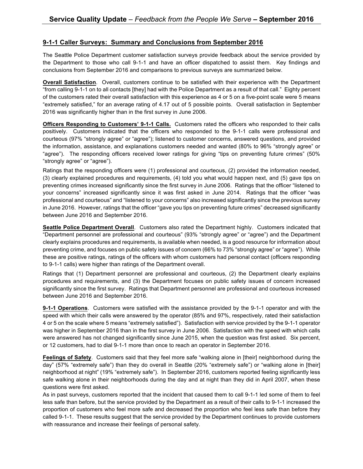#### **9-1-1 Caller Surveys: Summary and Conclusions from September 2016**

The Seattle Police Department customer satisfaction surveys provide feedback about the service provided by the Department to those who call 9-1-1 and have an officer dispatched to assist them. Key findings and conclusions from September 2016 and comparisons to previous surveys are summarized below.

**Overall Satisfaction**. Overall, customers continue to be satisfied with their experience with the Department "from calling 9-1-1 on to all contacts [they] had with the Police Department as a result of that call." Eighty percent of the customers rated their overall satisfaction with this experience as 4 or 5 on a five-point scale were 5 means "extremely satisfied," for an average rating of 4.17 out of 5 possible points. Overall satisfaction in September 2016 was significantly higher than in the first survey in June 2006.

**Officers Responding to Customers' 9-1-1 Calls.** Customers rated the officers who responded to their calls positively. Customers indicated that the officers who responded to the 9-1-1 calls were professional and courteous (97% "strongly agree" or "agree"); listened to customer concerns, answered questions, and provided the information, assistance, and explanations customers needed and wanted (80% to 96% "strongly agree" or "agree"). The responding officers received lower ratings for giving "tips on preventing future crimes" (50% "strongly agree" or "agree").

Ratings that the responding officers were (1) professional and courteous, (2) provided the information needed, (3) clearly explained procedures and requirements, (4) told you what would happen next, and (5) gave tips on preventing crimes increased significantly since the first survey in June 2006. Ratings that the officer "listened to your concerns" increased significantly since it was first asked in June 2014. Ratings that the officer "was professional and courteous" and "listened to your concerns" also increased significantly since the previous survey in June 2016. However, ratings that the officer "gave you tips on preventing future crimes" decreased significantly between June 2016 and September 2016.

**Seattle Police Department Overall**. Customers also rated the Department highly. Customers indicated that "Department personnel are professional and courteous" (93% "strongly agree" or "agree") and the Department clearly explains procedures and requirements, is available when needed, is a good resource for information about preventing crime, and focuses on public safety issues of concern (66% to 73% "strongly agree" or "agree"). While these are positive ratings, ratings of the officers with whom customers had personal contact (officers responding to 9-1-1 calls) were higher than ratings of the Department overall.

Ratings that (1) Department personnel are professional and courteous, (2) the Department clearly explains procedures and requirements, and (3) the Department focuses on public safety issues of concern increased significantly since the first survey. Ratings that Department personnel are professional and courteous increased between June 2016 and September 2016.

**9-1-1 Operations**. Customers were satisfied with the assistance provided by the 9-1-1 operator and with the speed with which their calls were answered by the operator (85% and 97%, respectively, rated their satisfaction 4 or 5 on the scale where 5 means "extremely satisfied"). Satisfaction with service provided by the 9-1-1 operator was higher in September 2016 than in the first survey in June 2006. Satisfaction with the speed with which calls were answered has not changed significantly since June 2015, when the question was first asked. Six percent, or 12 customers, had to dial 9-1-1 more than once to reach an operator in September 2016.

**Feelings of Safety**. Customers said that they feel more safe "walking alone in [their] neighborhood during the day" (57% "extremely safe") than they do overall in Seattle (20% "extremely safe") or "walking alone in [their] neighborhood at night" (19% "extremely safe"). In September 2016, customers reported feeling significantly less safe walking alone in their neighborhoods during the day and at night than they did in April 2007, when these questions were first asked.

As in past surveys, customers reported that the incident that caused them to call 9-1-1 led some of them to feel less safe than before, but the service provided by the Department as a result of their calls to 9-1-1 increased the proportion of customers who feel more safe and decreased the proportion who feel less safe than before they called 9-1-1. These results suggest that the service provided by the Department continues to provide customers with reassurance and increase their feelings of personal safety.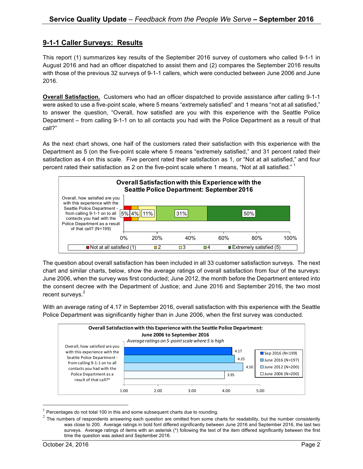### **9-1-1 Caller Surveys: Results**

This report (1) summarizes key results of the September 2016 survey of customers who called 9-1-1 in August 2016 and had an officer dispatched to assist them and (2) compares the September 2016 results with those of the previous 32 surveys of 9-1-1 callers, which were conducted between June 2006 and June 2016.

**Overall Satisfaction.** Customers who had an officer dispatched to provide assistance after calling 9-1-1 were asked to use a five-point scale, where 5 means "extremely satisfied" and 1 means "not at all satisfied," to answer the question, "Overall, how satisfied are you with this experience with the Seattle Police Department – from calling 9-1-1 on to all contacts you had with the Police Department as a result of that call?"

As the next chart shows, one half of the customers rated their satisfaction with this experience with the Department as 5 (on the five-point scale where 5 means "extremely satisfied," and 31 percent rated their satisfaction as 4 on this scale. Five percent rated their satisfaction as 1, or "Not at all satisfied," and four percent rated their satisfaction as 2 on the five-point scale where 1 means, "Not at all satisfied."  $1$ 



The question about overall satisfaction has been included in all 33 customer satisfaction surveys. The next chart and similar charts, below, show the average ratings of overall satisfaction from four of the surveys: June 2006, when the survey was first conducted; June 2012, the month before the Department entered into the consent decree with the Department of Justice; and June 2016 and September 2016, the two most recent surveys.<sup>2</sup>

With an average rating of 4.17 in September 2016, overall satisfaction with this experience with the Seattle Police Department was significantly higher than in June 2006, when the first survey was conducted.



Percentages do not total 100 in this and some subsequent charts due to rounding.

<sup>&</sup>lt;sup>2</sup> The numbers of respondents answering each question are omitted from some charts for readability, but the number consistently was close to 200. Average ratings in bold font differed significantly between June 2016 and September 2016, the last two surveys. Average ratings of items with an asterisk (\*) following the text of the item differed significantly between the first time the question was asked and September 2016.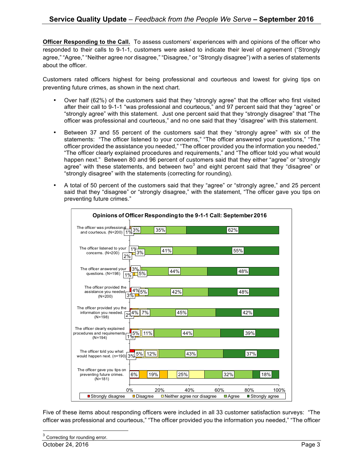**Officer Responding to the Call.** To assess customers' experiences with and opinions of the officer who responded to their calls to 9-1-1, customers were asked to indicate their level of agreement ("Strongly agree," "Agree," "Neither agree nor disagree," "Disagree," or "Strongly disagree") with a series of statements about the officer.

Customers rated officers highest for being professional and courteous and lowest for giving tips on preventing future crimes, as shown in the next chart.

- Over half (62%) of the customers said that they "strongly agree" that the officer who first visited after their call to 9-1-1 "was professional and courteous," and 97 percent said that they "agree" or "strongly agree" with this statement. Just one percent said that they "strongly disagree" that "The officer was professional and courteous," and no one said that they "disagree" with this statement.
- Between 37 and 55 percent of the customers said that they "strongly agree" with six of the statements: "The officer listened to your concerns," "The officer answered your questions," "The officer provided the assistance you needed," "The officer provided you the information you needed," "The officer clearly explained procedures and requirements," and "The officer told you what would happen next." Between 80 and 96 percent of customers said that they either "agree" or "strongly agree" with these statements, and between two<sup>3</sup> and eight percent said that they "disagree" or "strongly disagree" with the statements (correcting for rounding).
- A total of 50 percent of the customers said that they "agree" or "strongly agree," and 25 percent said that they "disagree" or "strongly disagree," with the statement, "The officer gave you tips on preventing future crimes."

| Opinions of Officer Responding to the 9-1-1 Call: September 2016                |                         |                                                 |     |                       |                          |
|---------------------------------------------------------------------------------|-------------------------|-------------------------------------------------|-----|-----------------------|--------------------------|
| The officer was professional<br>and courteous. $(N=200)$ $1\%$ $\frac{3\%}{\%}$ |                         | 35%                                             |     | 62%                   |                          |
| The officer listened to your<br>concerns. (N=200)                               | 1 <sub>0</sub><br>3%    | 41%                                             |     | 55%                   |                          |
| 2%<br>The officer answered your<br>questions. (N=198)<br>1%                     | $3\%$<br>5%             | 44%                                             |     | 48%                   |                          |
| The officer provided the<br>assistance you needed<br>$(N=200)$                  | $4\frac{9}{5}\%$<br>3%  | 42%                                             |     | 48%                   |                          |
| The officer provided you the<br>information you needed.<br>$(N=198)$            | 7%<br>$4\%$             | 45%                                             |     | 42%                   |                          |
| The officer clearly explained<br>procedures and requirements<br>$(N=194)$       | 5%<br>11%               | 44%                                             |     | 39%                   |                          |
| The officer told you what<br>would happen next. (n=190) 3%                      | $5\%$<br>12%            | 43%                                             |     | 37%                   |                          |
| The officer gave you tips on<br>preventing future crimes.<br>$(N=181)$          | 6%<br>19%               | 25%                                             |     | 32%                   | 18%                      |
| ■ Strongly disagree                                                             | 0%<br><b>□</b> Disagree | 20%<br>40%<br>$\Box$ Neither agree nor disagree | 60% | 80%<br><b>■</b> Agree | 100%<br>■ Strongly agree |

Five of these items about responding officers were included in all 33 customer satisfaction surveys: "The officer was professional and courteous," "The officer provided you the information you needed," "The officer

Correcting for rounding error.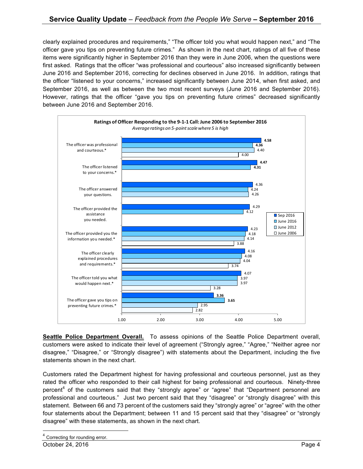clearly explained procedures and requirements," "The officer told you what would happen next," and "The officer gave you tips on preventing future crimes." As shown in the next chart, ratings of all five of these items were significantly higher in September 2016 than they were in June 2006, when the questions were first asked. Ratings that the officer "was professional and courteous" also increased significantly between June 2016 and September 2016, correcting for declines observed in June 2016. In addition, ratings that the officer "listened to your concerns," increased significantly between June 2014, when first asked, and September 2016, as well as between the two most recent surveys (June 2016 and September 2016). However, ratings that the officer "gave you tips on preventing future crimes" decreased significantly between June 2016 and September 2016.



**Seattle Police Department Overall.** To assess opinions of the Seattle Police Department overall, customers were asked to indicate their level of agreement ("Strongly agree," "Agree," "Neither agree nor disagree," "Disagree," or "Strongly disagree") with statements about the Department, including the five statements shown in the next chart.

Customers rated the Department highest for having professional and courteous personnel, just as they rated the officer who responded to their call highest for being professional and courteous. Ninety-three percent<sup>4</sup> of the customers said that they "strongly agree" or "agree" that "Department personnel are professional and courteous." Just two percent said that they "disagree" or "strongly disagree" with this statement. Between 66 and 73 percent of the customers said they "strongly agree" or "agree" with the other four statements about the Department; between 11 and 15 percent said that they "disagree" or "strongly disagree" with these statements, as shown in the next chart.

<sup>4</sup> Correcting for rounding error.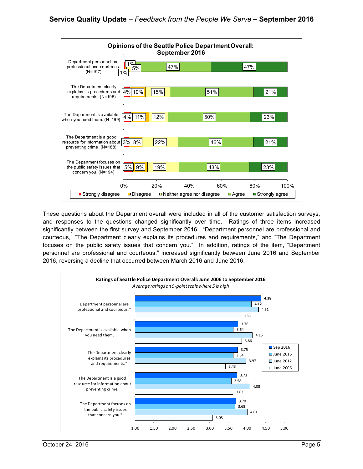

These questions about the Department overall were included in all of the customer satisfaction surveys, and responses to the questions changed significantly over time. Ratings of three items increased significantly between the first survey and September 2016: "Department personnel are professional and courteous," "The Department clearly explains its procedures and requirements," and "The Department focuses on the public safety issues that concern you." In addition, ratings of the item, "Department personnel are professional and courteous," increased significantly between June 2016 and September 2016, reversing a decline that occurred between March 2016 and June 2016.

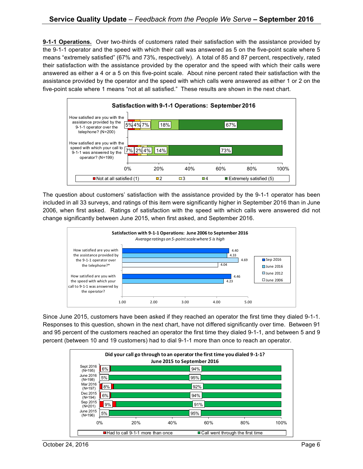**9-1-1 Operations.** Over two-thirds of customers rated their satisfaction with the assistance provided by the 9-1-1 operator and the speed with which their call was answered as 5 on the five-point scale where 5 means "extremely satisfied" (67% and 73%, respectively). A total of 85 and 87 percent, respectively, rated their satisfaction with the assistance provided by the operator and the speed with which their calls were answered as either a 4 or a 5 on this five-point scale. About nine percent rated their satisfaction with the assistance provided by the operator and the speed with which calls were answered as either 1 or 2 on the five-point scale where 1 means "not at all satisfied." These results are shown in the next chart.



The question about customers' satisfaction with the assistance provided by the 9-1-1 operator has been included in all 33 surveys, and ratings of this item were significantly higher in September 2016 than in June 2006, when first asked. Ratings of satisfaction with the speed with which calls were answered did not change significantly between June 2015, when first asked, and September 2016.



Since June 2015, customers have been asked if they reached an operator the first time they dialed 9-1-1. Responses to this question, shown in the next chart, have not differed significantly over time. Between 91 and 95 percent of the customers reached an operator the first time they dialed 9-1-1, and between 5 and 9 percent (between 10 and 19 customers) had to dial 9-1-1 more than once to reach an operator.

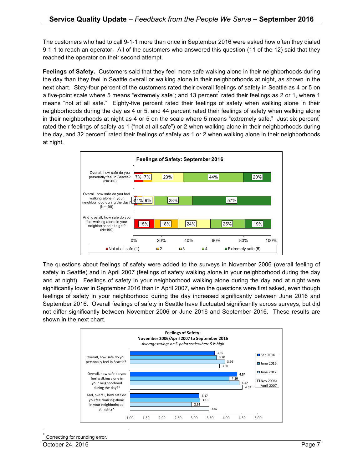The customers who had to call 9-1-1 more than once in September 2016 were asked how often they dialed 9-1-1 to reach an operator. All of the customers who answered this question (11 of the 12) said that they reached the operator on their second attempt.

**Feelings of Safety.** Customers said that they feel more safe walking alone in their neighborhoods during the day than they feel in Seattle overall or walking alone in their neighborhoods at night, as shown in the next chart. Sixty-four percent of the customers rated their overall feelings of safety in Seattle as 4 or 5 on a five-point scale where 5 means "extremely safe"; and 13 percent rated their feelings as 2 or 1, where 1 means "not at all safe." Eighty-five percent rated their feelings of safety when walking alone in their neighborhoods during the day as 4 or 5, and 44 percent rated their feelings of safety when walking alone in their neighborhoods at night as 4 or 5 on the scale where 5 means "extremely safe." Just six percent\* rated their feelings of safety as 1 ("not at all safe") or 2 when walking alone in their neighborhoods during the day, and 32 percent rated their feelings of safety as 1 or 2 when walking alone in their neighborhoods at night.



The questions about feelings of safety were added to the surveys in November 2006 (overall feeling of safety in Seattle) and in April 2007 (feelings of safety walking alone in your neighborhood during the day and at night). Feelings of safety in your neighborhood walking alone during the day and at night were significantly lower in September 2016 than in April 2007, when the questions were first asked, even though feelings of safety in your neighborhood during the day increased significantly between June 2016 and September 2016. Overall feelings of safety in Seattle have fluctuated significantly across surveys, but did not differ significantly between November 2006 or June 2016 and September 2016. These results are shown in the next chart.



Correcting for rounding error.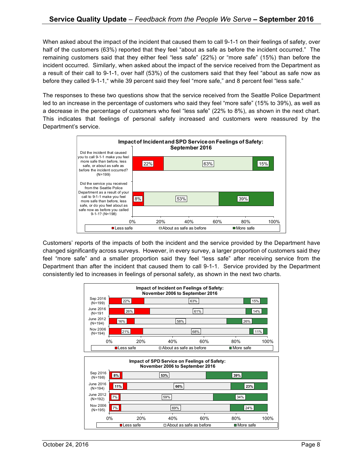When asked about the impact of the incident that caused them to call 9-1-1 on their feelings of safety, over half of the customers (63%) reported that they feel "about as safe as before the incident occurred." The remaining customers said that they either feel "less safe" (22%) or "more safe" (15%) than before the incident occurred. Similarly, when asked about the impact of the service received from the Department as a result of their call to 9-1-1, over half (53%) of the customers said that they feel "about as safe now as before they called 9-1-1," while 39 percent said they feel "more safe," and 8 percent feel "less safe."

The responses to these two questions show that the service received from the Seattle Police Department led to an increase in the percentage of customers who said they feel "more safe" (15% to 39%), as well as a decrease in the percentage of customers who feel "less safe" (22% to 8%), as shown in the next chart. This indicates that feelings of personal safety increased and customers were reassured by the Department's service.



Customers' reports of the impacts of both the incident and the service provided by the Department have changed significantly across surveys. However, in every survey, a larger proportion of customers said they feel "more safe" and a smaller proportion said they feel "less safe" after receiving service from the Department than after the incident that caused them to call 9-1-1. Service provided by the Department consistently led to increases in feelings of personal safety, as shown in the next two charts.